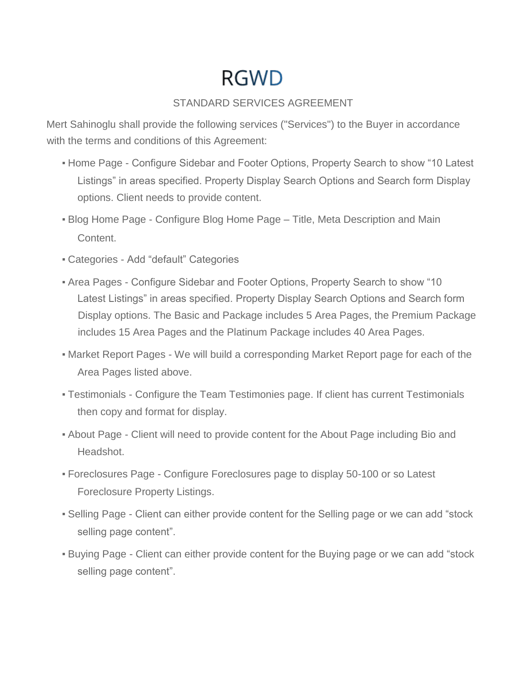# **RGWD**

## STANDARD SERVICES AGREEMENT

Mert Sahinoglu shall provide the following services ("Services") to the Buyer in accordance with the terms and conditions of this Agreement:

- **. Home Page Configure Sidebar and Footer Options, Property Search to show "10 Latest** Listings" in areas specified. Property Display Search Options and Search form Display options. Client needs to provide content.
- **Blog Home Page Configure Blog Home Page Title, Meta Description and Main** Content.
- Categories Add "default" Categories
- Area Pages Configure Sidebar and Footer Options, Property Search to show "10 Latest Listings" in areas specified. Property Display Search Options and Search form Display options. The Basic and Package includes 5 Area Pages, the Premium Package includes 15 Area Pages and the Platinum Package includes 40 Area Pages.
- **. Market Report Pages We will build a corresponding Market Report page for each of the** Area Pages listed above.
- Testimonials Configure the Team Testimonies page. If client has current Testimonials then copy and format for display.
- **About Page Client will need to provide content for the About Page including Bio and** Headshot.
- Foreclosures Page Configure Foreclosures page to display 50-100 or so Latest Foreclosure Property Listings.
- Selling Page Client can either provide content for the Selling page or we can add "stock selling page content".
- Buying Page Client can either provide content for the Buying page or we can add "stock selling page content".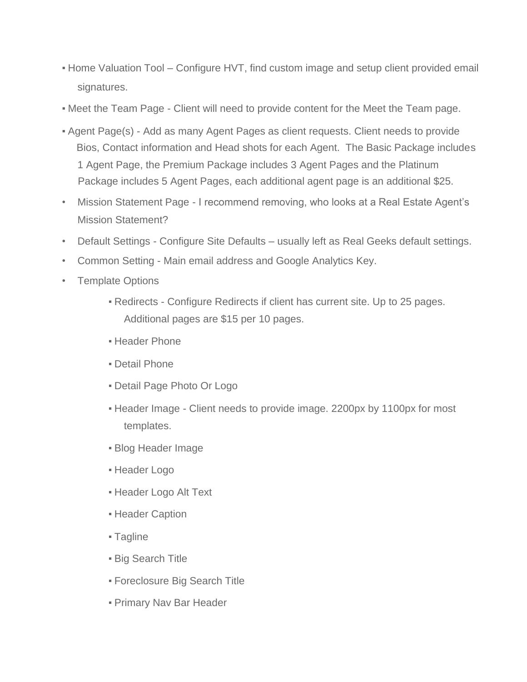- Home Valuation Tool Configure HVT, find custom image and setup client provided email signatures.
- Meet the Team Page Client will need to provide content for the Meet the Team page.
- **Agent Page(s) Add as many Agent Pages as client requests. Client needs to provide** Bios, Contact information and Head shots for each Agent. The Basic Package includes 1 Agent Page, the Premium Package includes 3 Agent Pages and the Platinum Package includes 5 Agent Pages, each additional agent page is an additional \$25.
- Mission Statement Page I recommend removing, who looks at a Real Estate Agent's Mission Statement?
- Default Settings Configure Site Defaults usually left as Real Geeks default settings.
- Common Setting Main email address and Google Analytics Key.
- Template Options
	- Redirects Configure Redirects if client has current site. Up to 25 pages. Additional pages are \$15 per 10 pages.
	- **· Header Phone**
	- Detail Phone
	- **Detail Page Photo Or Logo**
	- Header Image Client needs to provide image. 2200px by 1100px for most templates.
	- Blog Header Image
	- **Header Logo**
	- **Header Logo Alt Text**
	- **Header Caption**
	- Tagline
	- **Big Search Title**
	- Foreclosure Big Search Title
	- **Primary Nav Bar Header**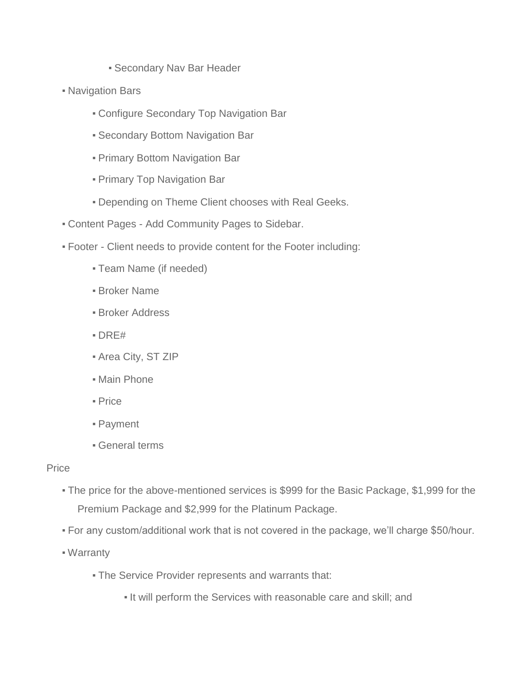- **Secondary Nav Bar Header**
- Navigation Bars
	- **EXECONDER Secondary Top Navigation Bar**
	- **Secondary Bottom Navigation Bar**
	- Primary Bottom Navigation Bar
	- Primary Top Navigation Bar
	- **.** Depending on Theme Client chooses with Real Geeks.
- Content Pages Add Community Pages to Sidebar.
- Footer Client needs to provide content for the Footer including:
	- Team Name (if needed)
	- **Broker Name**
	- **Broker Address**
	- DRE#
	- Area City, ST ZIP
	- **Main Phone**
	- Price
	- Payment
	- General terms

#### Price

- The price for the above-mentioned services is \$999 for the Basic Package, \$1,999 for the Premium Package and \$2,999 for the Platinum Package.
- For any custom/additional work that is not covered in the package, we'll charge \$50/hour.
- Warranty
	- **The Service Provider represents and warrants that:** 
		- It will perform the Services with reasonable care and skill; and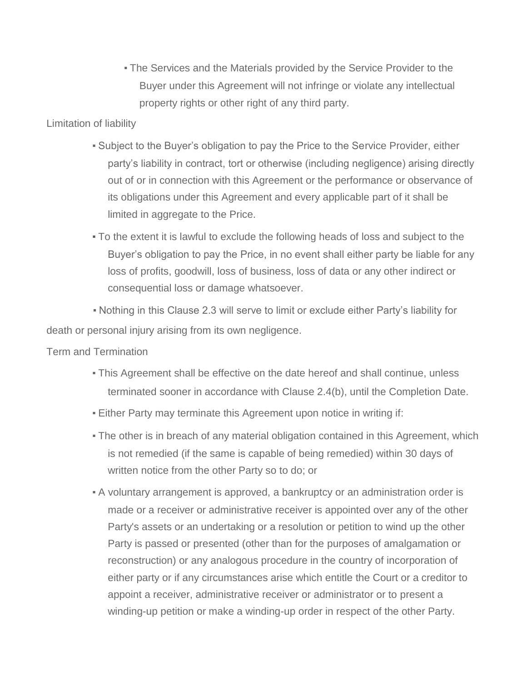**- The Services and the Materials provided by the Service Provider to the** Buyer under this Agreement will not infringe or violate any intellectual property rights or other right of any third party.

#### Limitation of liability

- Subject to the Buyer's obligation to pay the Price to the Service Provider, either party's liability in contract, tort or otherwise (including negligence) arising directly out of or in connection with this Agreement or the performance or observance of its obligations under this Agreement and every applicable part of it shall be limited in aggregate to the Price.
- To the extent it is lawful to exclude the following heads of loss and subject to the Buyer's obligation to pay the Price, in no event shall either party be liable for any loss of profits, goodwill, loss of business, loss of data or any other indirect or consequential loss or damage whatsoever.

▪ Nothing in this Clause 2.3 will serve to limit or exclude either Party's liability for death or personal injury arising from its own negligence.

#### Term and Termination

- This Agreement shall be effective on the date hereof and shall continue, unless terminated sooner in accordance with Clause 2.4(b), until the Completion Date.
- **Either Party may terminate this Agreement upon notice in writing if:**
- The other is in breach of any material obligation contained in this Agreement, which is not remedied (if the same is capable of being remedied) within 30 days of written notice from the other Party so to do; or
- A voluntary arrangement is approved, a bankruptcy or an administration order is made or a receiver or administrative receiver is appointed over any of the other Party's assets or an undertaking or a resolution or petition to wind up the other Party is passed or presented (other than for the purposes of amalgamation or reconstruction) or any analogous procedure in the country of incorporation of either party or if any circumstances arise which entitle the Court or a creditor to appoint a receiver, administrative receiver or administrator or to present a winding-up petition or make a winding-up order in respect of the other Party.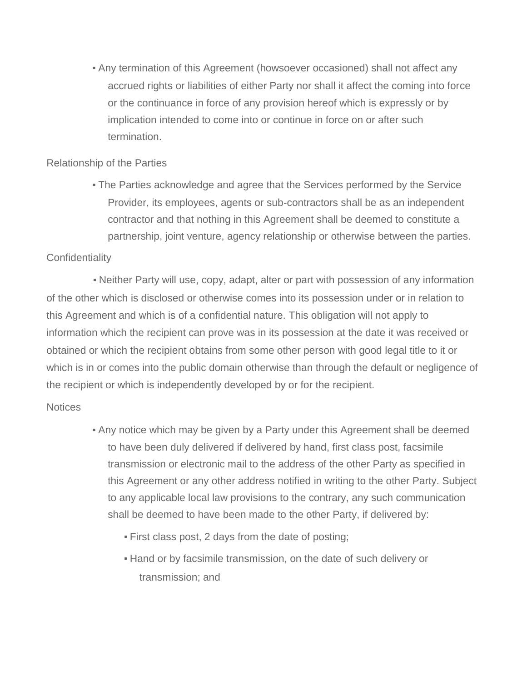▪ Any termination of this Agreement (howsoever occasioned) shall not affect any accrued rights or liabilities of either Party nor shall it affect the coming into force or the continuance in force of any provision hereof which is expressly or by implication intended to come into or continue in force on or after such termination.

#### Relationship of the Parties

• The Parties acknowledge and agree that the Services performed by the Service Provider, its employees, agents or sub-contractors shall be as an independent contractor and that nothing in this Agreement shall be deemed to constitute a partnership, joint venture, agency relationship or otherwise between the parties.

### **Confidentiality**

• Neither Party will use, copy, adapt, alter or part with possession of any information of the other which is disclosed or otherwise comes into its possession under or in relation to this Agreement and which is of a confidential nature. This obligation will not apply to information which the recipient can prove was in its possession at the date it was received or obtained or which the recipient obtains from some other person with good legal title to it or which is in or comes into the public domain otherwise than through the default or negligence of the recipient or which is independently developed by or for the recipient.

#### Notices

- Any notice which may be given by a Party under this Agreement shall be deemed to have been duly delivered if delivered by hand, first class post, facsimile transmission or electronic mail to the address of the other Party as specified in this Agreement or any other address notified in writing to the other Party. Subject to any applicable local law provisions to the contrary, any such communication shall be deemed to have been made to the other Party, if delivered by:
	- First class post, 2 days from the date of posting;
	- **Hand or by facsimile transmission, on the date of such delivery or** transmission; and